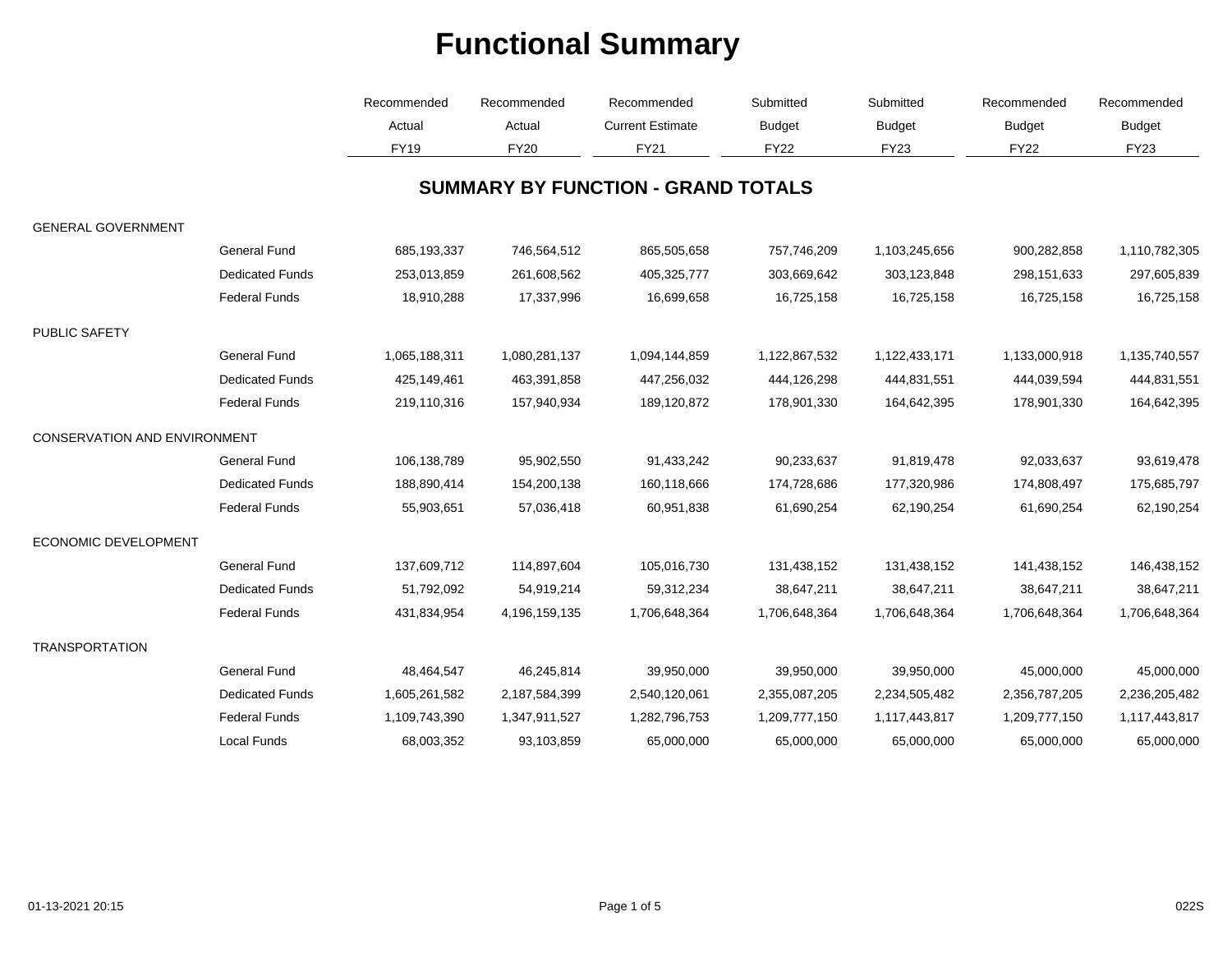|                                     |                        | Recommended<br>Actual | Recommended<br>Actual | Recommended<br><b>Current Estimate</b>    | Submitted<br><b>Budget</b><br><b>FY22</b> | Submitted<br><b>Budget</b> | Recommended<br><b>Budget</b><br><b>FY22</b> | Recommended<br><b>Budget</b> |
|-------------------------------------|------------------------|-----------------------|-----------------------|-------------------------------------------|-------------------------------------------|----------------------------|---------------------------------------------|------------------------------|
|                                     |                        |                       |                       |                                           |                                           |                            |                                             |                              |
|                                     |                        | <b>FY19</b>           | <b>FY20</b>           | <b>FY21</b>                               |                                           | <b>FY23</b>                |                                             | FY23                         |
|                                     |                        |                       |                       | <b>SUMMARY BY FUNCTION - GRAND TOTALS</b> |                                           |                            |                                             |                              |
| <b>GENERAL GOVERNMENT</b>           |                        |                       |                       |                                           |                                           |                            |                                             |                              |
|                                     | <b>General Fund</b>    | 685,193,337           | 746,564,512           | 865,505,658                               | 757,746,209                               | 1,103,245,656              | 900,282,858                                 | 1,110,782,305                |
|                                     | <b>Dedicated Funds</b> | 253,013,859           | 261,608,562           | 405,325,777                               | 303,669,642                               | 303,123,848                | 298,151,633                                 | 297,605,839                  |
|                                     | <b>Federal Funds</b>   | 18,910,288            | 17,337,996            | 16,699,658                                | 16,725,158                                | 16,725,158                 | 16,725,158                                  | 16,725,158                   |
| <b>PUBLIC SAFETY</b>                |                        |                       |                       |                                           |                                           |                            |                                             |                              |
|                                     | <b>General Fund</b>    | 1,065,188,311         | 1,080,281,137         | 1,094,144,859                             | 1,122,867,532                             | 1,122,433,171              | 1,133,000,918                               | 1,135,740,557                |
|                                     | <b>Dedicated Funds</b> | 425,149,461           | 463,391,858           | 447,256,032                               | 444,126,298                               | 444,831,551                | 444,039,594                                 | 444,831,551                  |
|                                     | <b>Federal Funds</b>   | 219,110,316           | 157,940,934           | 189,120,872                               | 178,901,330                               | 164,642,395                | 178,901,330                                 | 164,642,395                  |
| <b>CONSERVATION AND ENVIRONMENT</b> |                        |                       |                       |                                           |                                           |                            |                                             |                              |
|                                     | <b>General Fund</b>    | 106,138,789           | 95,902,550            | 91,433,242                                | 90,233,637                                | 91,819,478                 | 92,033,637                                  | 93,619,478                   |
|                                     | <b>Dedicated Funds</b> | 188,890,414           | 154,200,138           | 160,118,666                               | 174,728,686                               | 177,320,986                | 174,808,497                                 | 175,685,797                  |
|                                     | <b>Federal Funds</b>   | 55,903,651            | 57,036,418            | 60,951,838                                | 61,690,254                                | 62,190,254                 | 61,690,254                                  | 62,190,254                   |
| <b>ECONOMIC DEVELOPMENT</b>         |                        |                       |                       |                                           |                                           |                            |                                             |                              |
|                                     | <b>General Fund</b>    | 137,609,712           | 114,897,604           | 105,016,730                               | 131,438,152                               | 131,438,152                | 141,438,152                                 | 146,438,152                  |
|                                     | <b>Dedicated Funds</b> | 51,792,092            | 54,919,214            | 59,312,234                                | 38,647,211                                | 38,647,211                 | 38,647,211                                  | 38,647,211                   |
|                                     | <b>Federal Funds</b>   | 431,834,954           | 4,196,159,135         | 1,706,648,364                             | 1,706,648,364                             | 1,706,648,364              | 1,706,648,364                               | 1,706,648,364                |
| <b>TRANSPORTATION</b>               |                        |                       |                       |                                           |                                           |                            |                                             |                              |
|                                     | <b>General Fund</b>    | 48,464,547            | 46,245,814            | 39,950,000                                | 39,950,000                                | 39,950,000                 | 45,000,000                                  | 45,000,000                   |
|                                     | <b>Dedicated Funds</b> | 1,605,261,582         | 2,187,584,399         | 2,540,120,061                             | 2,355,087,205                             | 2,234,505,482              | 2,356,787,205                               | 2,236,205,482                |
|                                     | <b>Federal Funds</b>   | 1,109,743,390         | 1,347,911,527         | 1,282,796,753                             | 1,209,777,150                             | 1,117,443,817              | 1,209,777,150                               | 1,117,443,817                |
|                                     | <b>Local Funds</b>     | 68,003,352            | 93,103,859            | 65,000,000                                | 65,000,000                                | 65,000,000                 | 65,000,000                                  | 65,000,000                   |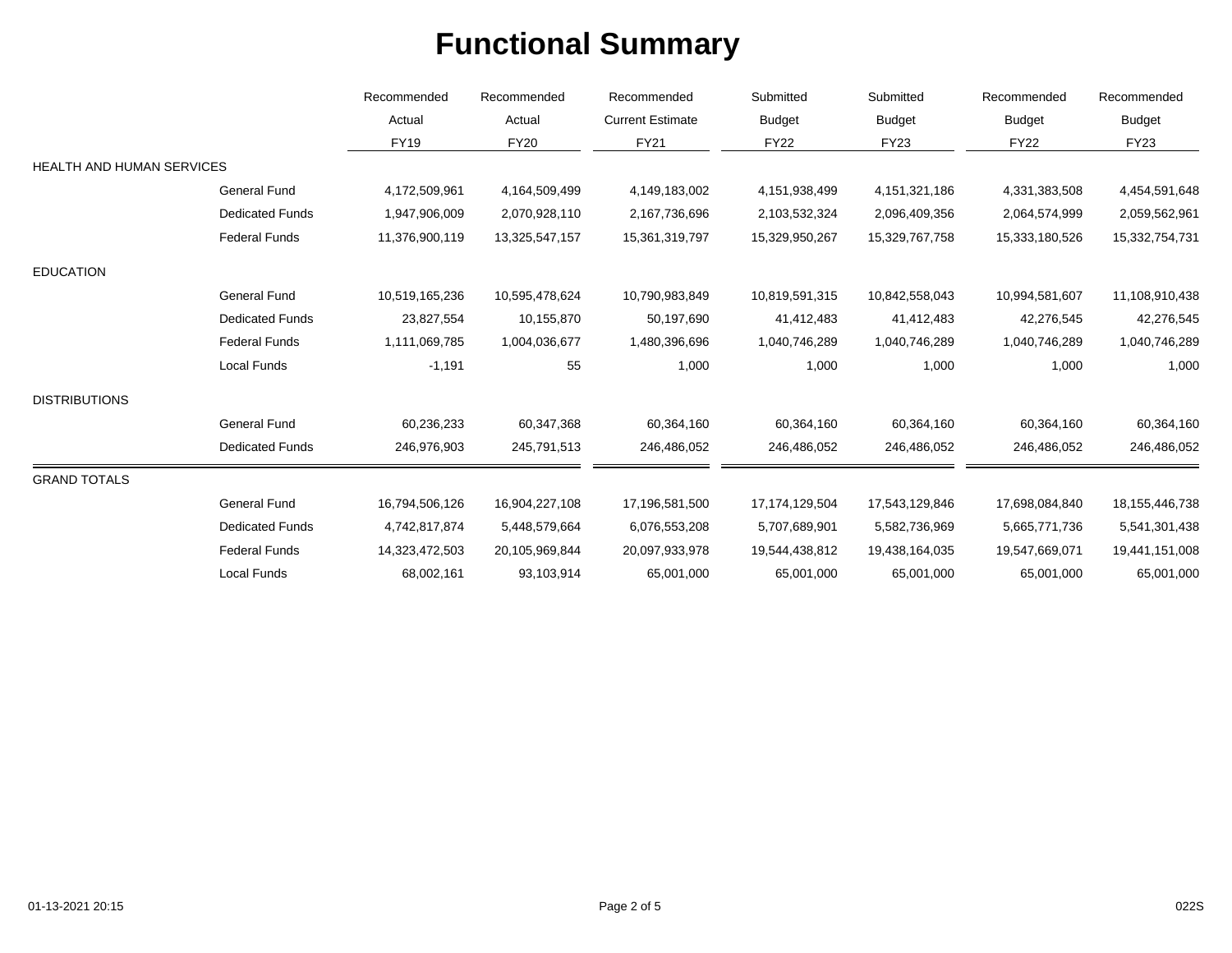|                                  |                        | Recommended<br>Actual | Recommended<br>Actual | Recommended<br><b>Current Estimate</b><br><b>FY21</b> | Submitted<br><b>Budget</b> | Submitted<br><b>Budget</b><br><b>FY23</b> | Recommended<br><b>Budget</b><br><b>FY22</b> | Recommended<br><b>Budget</b><br><b>FY23</b> |
|----------------------------------|------------------------|-----------------------|-----------------------|-------------------------------------------------------|----------------------------|-------------------------------------------|---------------------------------------------|---------------------------------------------|
|                                  |                        |                       |                       |                                                       |                            |                                           |                                             |                                             |
|                                  |                        | <b>FY19</b>           | <b>FY20</b>           |                                                       | <b>FY22</b>                |                                           |                                             |                                             |
| <b>HEALTH AND HUMAN SERVICES</b> |                        |                       |                       |                                                       |                            |                                           |                                             |                                             |
|                                  | <b>General Fund</b>    | 4,172,509,961         | 4,164,509,499         | 4,149,183,002                                         | 4,151,938,499              | 4,151,321,186                             | 4,331,383,508                               | 4,454,591,648                               |
|                                  | <b>Dedicated Funds</b> | 1,947,906,009         | 2,070,928,110         | 2,167,736,696                                         | 2,103,532,324              | 2,096,409,356                             | 2,064,574,999                               | 2,059,562,961                               |
|                                  | <b>Federal Funds</b>   | 11,376,900,119        | 13,325,547,157        | 15,361,319,797                                        | 15,329,950,267             | 15,329,767,758                            | 15,333,180,526                              | 15,332,754,731                              |
| <b>EDUCATION</b>                 |                        |                       |                       |                                                       |                            |                                           |                                             |                                             |
|                                  | <b>General Fund</b>    | 10,519,165,236        | 10,595,478,624        | 10,790,983,849                                        | 10,819,591,315             | 10,842,558,043                            | 10,994,581,607                              | 11,108,910,438                              |
|                                  | <b>Dedicated Funds</b> | 23,827,554            | 10,155,870            | 50,197,690                                            | 41,412,483                 | 41,412,483                                | 42,276,545                                  | 42,276,545                                  |
|                                  | <b>Federal Funds</b>   | 1,111,069,785         | 1,004,036,677         | 1,480,396,696                                         | 1,040,746,289              | 1,040,746,289                             | 1,040,746,289                               | 1,040,746,289                               |
|                                  | Local Funds            | $-1,191$              | 55                    | 1,000                                                 | 1,000                      | 1,000                                     | 1,000                                       | 1,000                                       |
| <b>DISTRIBUTIONS</b>             |                        |                       |                       |                                                       |                            |                                           |                                             |                                             |
|                                  | <b>General Fund</b>    | 60,236,233            | 60,347,368            | 60,364,160                                            | 60,364,160                 | 60,364,160                                | 60,364,160                                  | 60,364,160                                  |
|                                  | <b>Dedicated Funds</b> | 246,976,903           | 245,791,513           | 246,486,052                                           | 246,486,052                | 246,486,052                               | 246,486,052                                 | 246,486,052                                 |
| <b>GRAND TOTALS</b>              |                        |                       |                       |                                                       |                            |                                           |                                             |                                             |
|                                  | <b>General Fund</b>    | 16,794,506,126        | 16,904,227,108        | 17,196,581,500                                        | 17, 174, 129, 504          | 17,543,129,846                            | 17,698,084,840                              | 18, 155, 446, 738                           |
|                                  | <b>Dedicated Funds</b> | 4,742,817,874         | 5,448,579,664         | 6,076,553,208                                         | 5,707,689,901              | 5,582,736,969                             | 5,665,771,736                               | 5,541,301,438                               |
|                                  | <b>Federal Funds</b>   | 14,323,472,503        | 20,105,969,844        | 20,097,933,978                                        | 19,544,438,812             | 19,438,164,035                            | 19,547,669,071                              | 19,441,151,008                              |
|                                  | Local Funds            | 68,002,161            | 93,103,914            | 65,001,000                                            | 65,001,000                 | 65,001,000                                | 65,001,000                                  | 65,001,000                                  |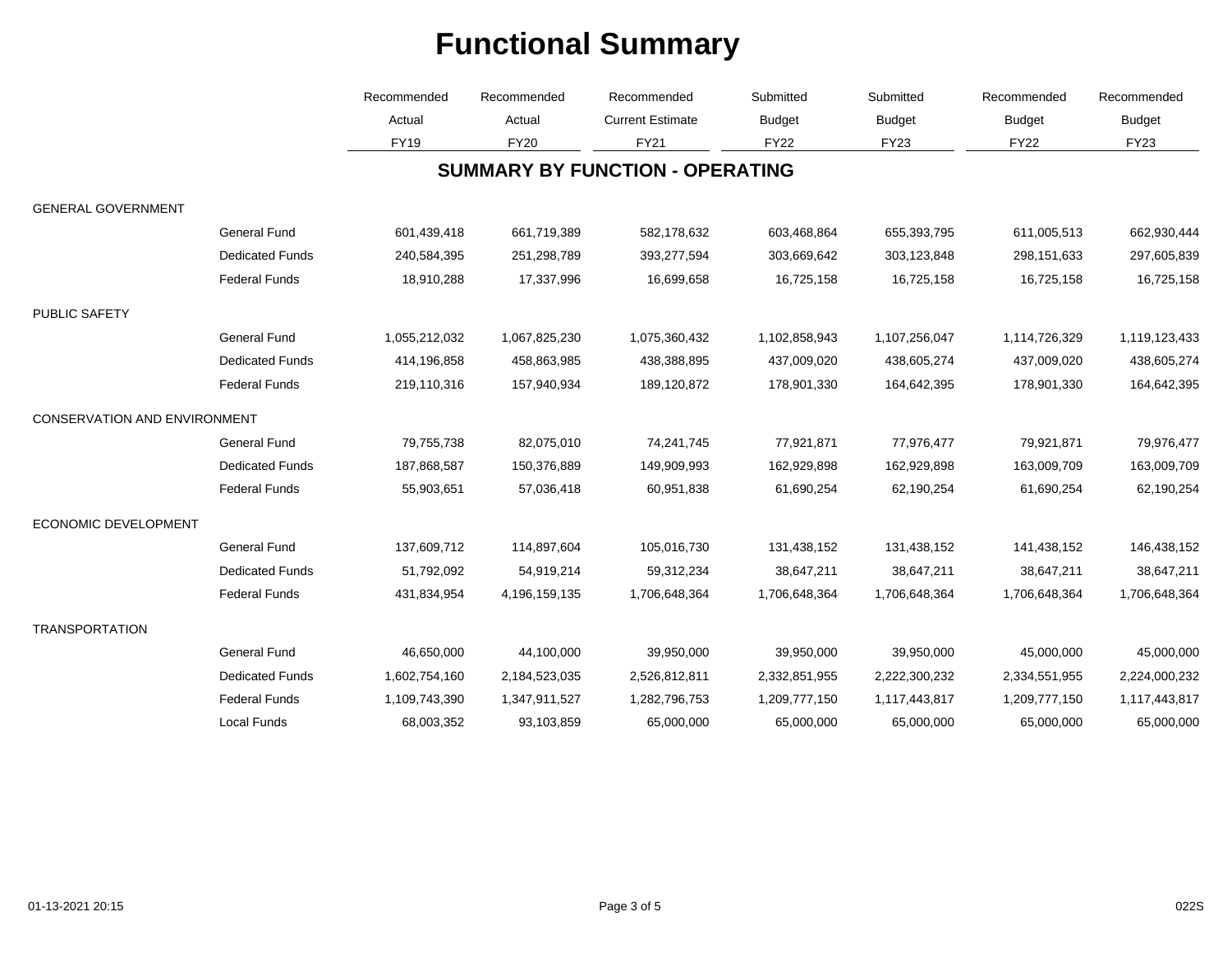|                                     |                        | Recommended<br>Actual | Recommended<br>Actual<br><b>FY20</b> | Recommended<br><b>Current Estimate</b><br><b>FY21</b> | Submitted<br><b>Budget</b> | Submitted<br><b>Budget</b> | Recommended<br><b>Budget</b><br><b>FY22</b> | Recommended<br><b>Budget</b><br><b>FY23</b> |
|-------------------------------------|------------------------|-----------------------|--------------------------------------|-------------------------------------------------------|----------------------------|----------------------------|---------------------------------------------|---------------------------------------------|
|                                     |                        |                       |                                      |                                                       |                            |                            |                                             |                                             |
|                                     |                        | <b>FY19</b>           |                                      |                                                       | <b>FY22</b>                | <b>FY23</b>                |                                             |                                             |
|                                     |                        |                       |                                      | <b>SUMMARY BY FUNCTION - OPERATING</b>                |                            |                            |                                             |                                             |
| <b>GENERAL GOVERNMENT</b>           |                        |                       |                                      |                                                       |                            |                            |                                             |                                             |
|                                     | <b>General Fund</b>    | 601,439,418           | 661,719,389                          | 582,178,632                                           | 603,468,864                | 655,393,795                | 611,005,513                                 | 662,930,444                                 |
|                                     | <b>Dedicated Funds</b> | 240,584,395           | 251,298,789                          | 393,277,594                                           | 303,669,642                | 303,123,848                | 298,151,633                                 | 297,605,839                                 |
|                                     | <b>Federal Funds</b>   | 18,910,288            | 17,337,996                           | 16,699,658                                            | 16,725,158                 | 16,725,158                 | 16,725,158                                  | 16,725,158                                  |
| PUBLIC SAFETY                       |                        |                       |                                      |                                                       |                            |                            |                                             |                                             |
|                                     | <b>General Fund</b>    | 1,055,212,032         | 1,067,825,230                        | 1,075,360,432                                         | 1,102,858,943              | 1,107,256,047              | 1,114,726,329                               | 1,119,123,433                               |
|                                     | <b>Dedicated Funds</b> | 414,196,858           | 458,863,985                          | 438,388,895                                           | 437,009,020                | 438,605,274                | 437,009,020                                 | 438,605,274                                 |
|                                     | <b>Federal Funds</b>   | 219,110,316           | 157,940,934                          | 189,120,872                                           | 178,901,330                | 164,642,395                | 178,901,330                                 | 164,642,395                                 |
| <b>CONSERVATION AND ENVIRONMENT</b> |                        |                       |                                      |                                                       |                            |                            |                                             |                                             |
|                                     | <b>General Fund</b>    | 79,755,738            | 82,075,010                           | 74,241,745                                            | 77,921,871                 | 77,976,477                 | 79,921,871                                  | 79,976,477                                  |
|                                     | <b>Dedicated Funds</b> | 187,868,587           | 150,376,889                          | 149,909,993                                           | 162,929,898                | 162,929,898                | 163,009,709                                 | 163,009,709                                 |
|                                     | <b>Federal Funds</b>   | 55,903,651            | 57,036,418                           | 60,951,838                                            | 61,690,254                 | 62,190,254                 | 61,690,254                                  | 62,190,254                                  |
| ECONOMIC DEVELOPMENT                |                        |                       |                                      |                                                       |                            |                            |                                             |                                             |
|                                     | <b>General Fund</b>    | 137,609,712           | 114,897,604                          | 105,016,730                                           | 131,438,152                | 131,438,152                | 141,438,152                                 | 146,438,152                                 |
|                                     | <b>Dedicated Funds</b> | 51,792,092            | 54,919,214                           | 59,312,234                                            | 38,647,211                 | 38,647,211                 | 38,647,211                                  | 38,647,211                                  |
|                                     | <b>Federal Funds</b>   | 431,834,954           | 4,196,159,135                        | 1,706,648,364                                         | 1,706,648,364              | 1,706,648,364              | 1,706,648,364                               | 1,706,648,364                               |
| <b>TRANSPORTATION</b>               |                        |                       |                                      |                                                       |                            |                            |                                             |                                             |
|                                     | <b>General Fund</b>    | 46,650,000            | 44,100,000                           | 39,950,000                                            | 39,950,000                 | 39,950,000                 | 45,000,000                                  | 45,000,000                                  |
|                                     | <b>Dedicated Funds</b> | 1,602,754,160         | 2,184,523,035                        | 2,526,812,811                                         | 2,332,851,955              | 2,222,300,232              | 2,334,551,955                               | 2,224,000,232                               |
|                                     | <b>Federal Funds</b>   | 1,109,743,390         | 1,347,911,527                        | 1,282,796,753                                         | 1,209,777,150              | 1,117,443,817              | 1,209,777,150                               | 1,117,443,817                               |
|                                     | Local Funds            | 68,003,352            | 93,103,859                           | 65,000,000                                            | 65,000,000                 | 65,000,000                 | 65,000,000                                  | 65,000,000                                  |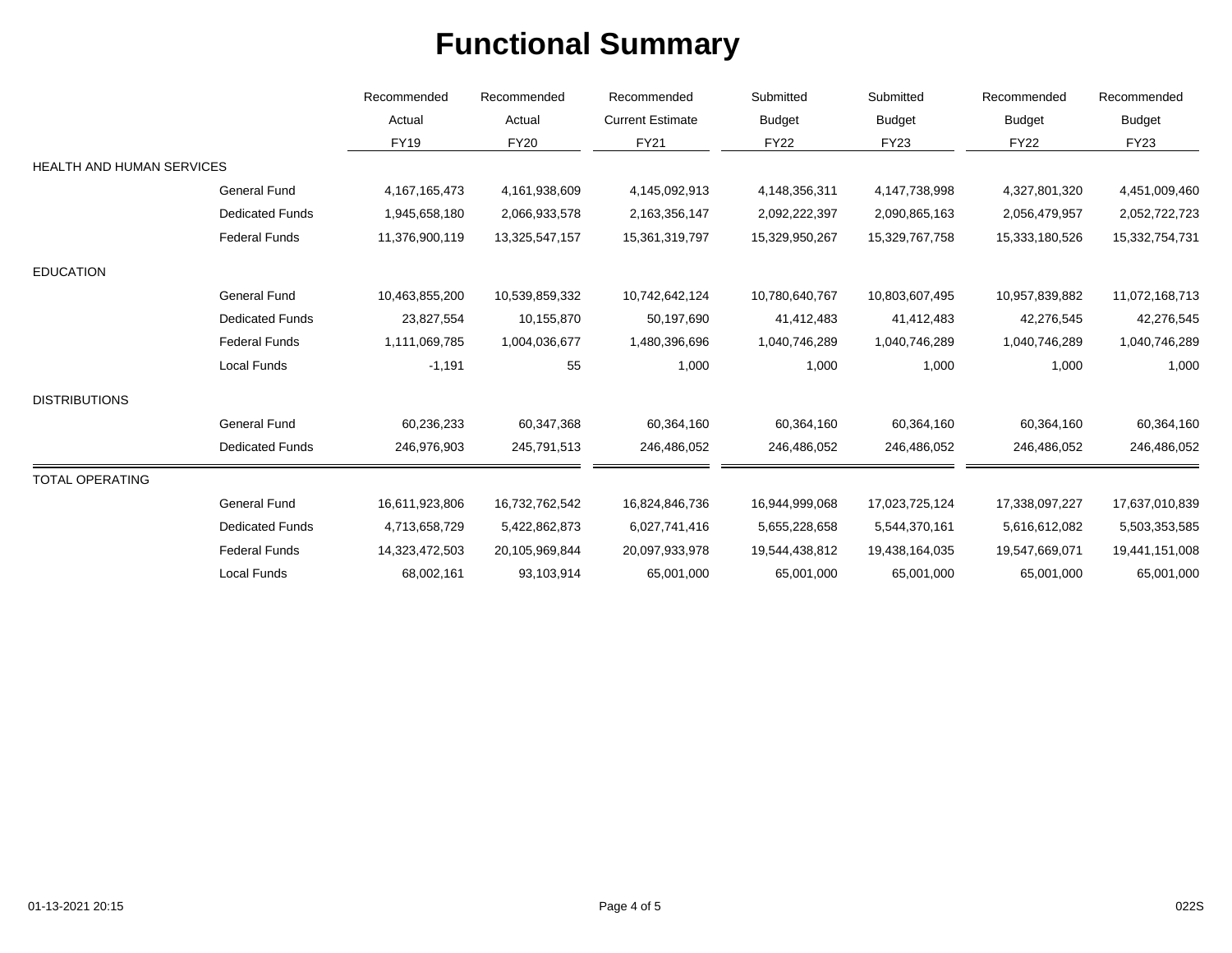|                                  |                        | Recommended<br>Actual | Recommended<br>Actual | Recommended<br><b>Current Estimate</b><br><b>FY21</b> | Submitted<br><b>Budget</b><br><b>FY22</b> | Submitted<br><b>Budget</b><br><b>FY23</b> | Recommended<br><b>Budget</b><br><b>FY22</b> | Recommended<br><b>Budget</b><br><b>FY23</b> |
|----------------------------------|------------------------|-----------------------|-----------------------|-------------------------------------------------------|-------------------------------------------|-------------------------------------------|---------------------------------------------|---------------------------------------------|
|                                  |                        |                       |                       |                                                       |                                           |                                           |                                             |                                             |
|                                  |                        | <b>FY19</b>           | <b>FY20</b>           |                                                       |                                           |                                           |                                             |                                             |
| <b>HEALTH AND HUMAN SERVICES</b> |                        |                       |                       |                                                       |                                           |                                           |                                             |                                             |
|                                  | <b>General Fund</b>    | 4, 167, 165, 473      | 4,161,938,609         | 4,145,092,913                                         | 4,148,356,311                             | 4,147,738,998                             | 4,327,801,320                               | 4,451,009,460                               |
|                                  | <b>Dedicated Funds</b> | 1,945,658,180         | 2,066,933,578         | 2,163,356,147                                         | 2,092,222,397                             | 2,090,865,163                             | 2,056,479,957                               | 2,052,722,723                               |
|                                  | <b>Federal Funds</b>   | 11,376,900,119        | 13,325,547,157        | 15,361,319,797                                        | 15,329,950,267                            | 15,329,767,758                            | 15,333,180,526                              | 15,332,754,731                              |
| <b>EDUCATION</b>                 |                        |                       |                       |                                                       |                                           |                                           |                                             |                                             |
|                                  | <b>General Fund</b>    | 10,463,855,200        | 10,539,859,332        | 10,742,642,124                                        | 10,780,640,767                            | 10,803,607,495                            | 10,957,839,882                              | 11,072,168,713                              |
|                                  | <b>Dedicated Funds</b> | 23,827,554            | 10,155,870            | 50,197,690                                            | 41,412,483                                | 41,412,483                                | 42,276,545                                  | 42,276,545                                  |
|                                  | <b>Federal Funds</b>   | 1,111,069,785         | 1,004,036,677         | 1,480,396,696                                         | 1,040,746,289                             | 1,040,746,289                             | 1,040,746,289                               | 1,040,746,289                               |
|                                  | Local Funds            | $-1,191$              | 55                    | 1,000                                                 | 1,000                                     | 1,000                                     | 1,000                                       | 1,000                                       |
| <b>DISTRIBUTIONS</b>             |                        |                       |                       |                                                       |                                           |                                           |                                             |                                             |
|                                  | <b>General Fund</b>    | 60,236,233            | 60,347,368            | 60,364,160                                            | 60,364,160                                | 60,364,160                                | 60,364,160                                  | 60,364,160                                  |
|                                  | <b>Dedicated Funds</b> | 246,976,903           | 245,791,513           | 246,486,052                                           | 246,486,052                               | 246,486,052                               | 246,486,052                                 | 246,486,052                                 |
| <b>TOTAL OPERATING</b>           |                        |                       |                       |                                                       |                                           |                                           |                                             |                                             |
|                                  | <b>General Fund</b>    | 16,611,923,806        | 16,732,762,542        | 16,824,846,736                                        | 16,944,999,068                            | 17,023,725,124                            | 17,338,097,227                              | 17,637,010,839                              |
|                                  | <b>Dedicated Funds</b> | 4,713,658,729         | 5,422,862,873         | 6,027,741,416                                         | 5,655,228,658                             | 5,544,370,161                             | 5,616,612,082                               | 5,503,353,585                               |
|                                  | <b>Federal Funds</b>   | 14,323,472,503        | 20,105,969,844        | 20,097,933,978                                        | 19,544,438,812                            | 19,438,164,035                            | 19,547,669,071                              | 19,441,151,008                              |
|                                  | Local Funds            | 68,002,161            | 93,103,914            | 65,001,000                                            | 65,001,000                                | 65,001,000                                | 65,001,000                                  | 65,001,000                                  |